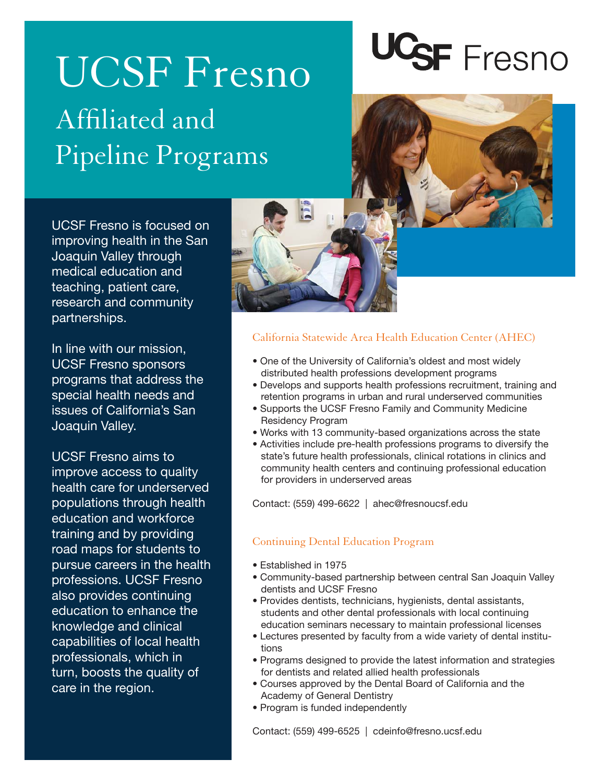### UCSF Fresno Affiliated and Pipeline Programs

# UCSF Fresno

UCSF Fresno is focused on improving health in the San Joaquin Valley through medical education and teaching, patient care, research and community partnerships.

In line with our mission, UCSF Fresno sponsors programs that address the special health needs and issues of California's San Joaquin Valley.

UCSF Fresno aims to improve access to quality health care for underserved populations through health education and workforce training and by providing road maps for students to pursue careers in the health professions. UCSF Fresno also provides continuing education to enhance the knowledge and clinical capabilities of local health professionals, which in turn, boosts the quality of care in the region.



#### California Statewide Area Health Education Center (AHEC)

- One of the University of California's oldest and most widely distributed health professions development programs
- Develops and supports health professions recruitment, training and retention programs in urban and rural underserved communities
- Supports the UCSF Fresno Family and Community Medicine Residency Program
- Works with 13 community-based organizations across the state
- Activities include pre-health professions programs to diversify the state's future health professionals, clinical rotations in clinics and community health centers and continuing professional education for providers in underserved areas

Contact: (559) 499-6622 | ahec@fresnoucsf.edu

#### Continuing Dental Education Program

- Established in 1975
- Community-based partnership between central San Joaquin Valley dentists and UCSF Fresno
- Provides dentists, technicians, hygienists, dental assistants, students and other dental professionals with local continuing education seminars necessary to maintain professional licenses
- Lectures presented by faculty from a wide variety of dental institutions
- Programs designed to provide the latest information and strategies for dentists and related allied health professionals
- Courses approved by the Dental Board of California and the Academy of General Dentistry
- Program is funded independently

Contact: (559) 499-6525 | cdeinfo@fresno.ucsf.edu